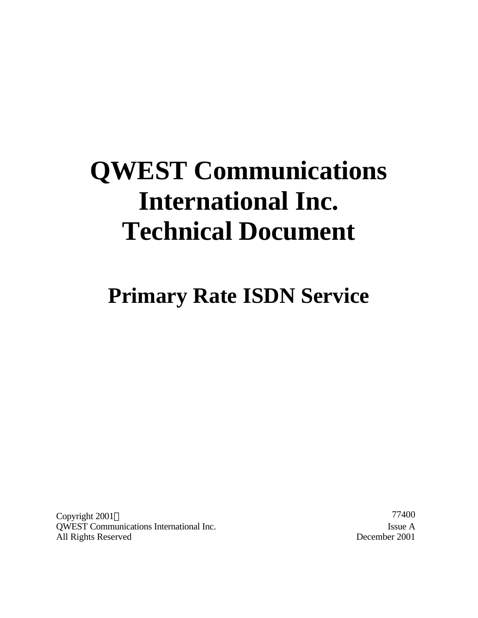# **QWEST Communications International Inc. Technical Document**

**Primary Rate ISDN Service**

 $Copyright\ 2001@$  77400 QWEST Communications International Inc. Issue A All Rights Reserved December 2001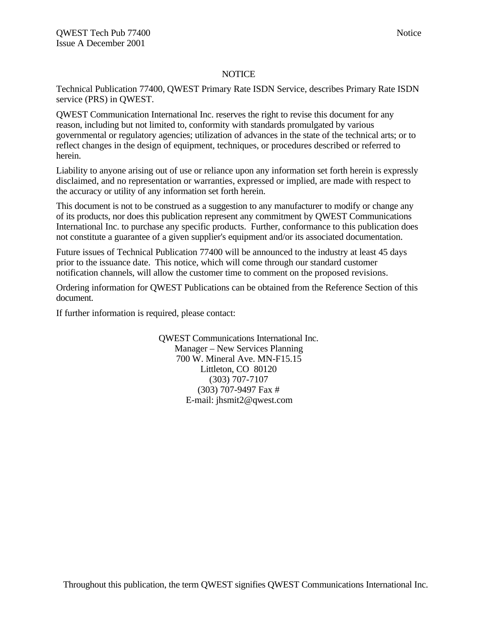# **NOTICE**

Technical Publication 77400, QWEST Primary Rate ISDN Service, describes Primary Rate ISDN service (PRS) in QWEST.

QWEST Communication International Inc. reserves the right to revise this document for any reason, including but not limited to, conformity with standards promulgated by various governmental or regulatory agencies; utilization of advances in the state of the technical arts; or to reflect changes in the design of equipment, techniques, or procedures described or referred to herein.

Liability to anyone arising out of use or reliance upon any information set forth herein is expressly disclaimed, and no representation or warranties, expressed or implied, are made with respect to the accuracy or utility of any information set forth herein.

This document is not to be construed as a suggestion to any manufacturer to modify or change any of its products, nor does this publication represent any commitment by QWEST Communications International Inc. to purchase any specific products. Further, conformance to this publication does not constitute a guarantee of a given supplier's equipment and/or its associated documentation.

Future issues of Technical Publication 77400 will be announced to the industry at least 45 days prior to the issuance date. This notice, which will come through our standard customer notification channels, will allow the customer time to comment on the proposed revisions.

Ordering information for QWEST Publications can be obtained from the Reference Section of this document.

If further information is required, please contact:

QWEST Communications International Inc. Manager – New Services Planning 700 W. Mineral Ave. MN-F15.15 Littleton, CO 80120 (303) 707-7107 (303) 707-9497 Fax # E-mail: jhsmit2@qwest.com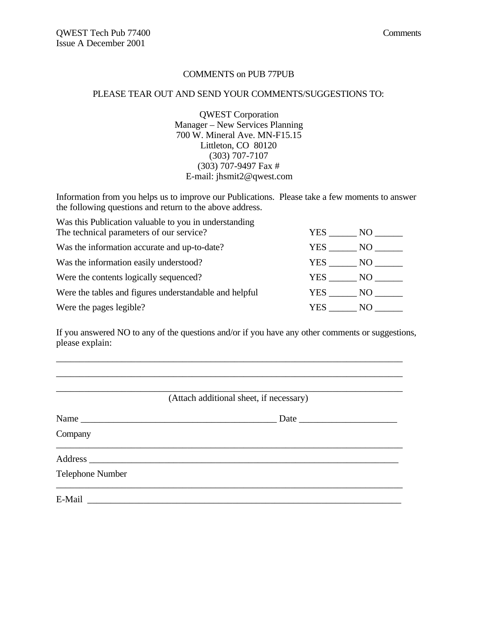# COMMENTS on PUB 77PUB

#### PLEASE TEAR OUT AND SEND YOUR COMMENTS/SUGGESTIONS TO:

QWEST Corporation Manager – New Services Planning 700 W. Mineral Ave. MN-F15.15 Littleton, CO 80120 (303) 707-7107 (303) 707-9497 Fax # E-mail: jhsmit2@qwest.com

Information from you helps us to improve our Publications. Please take a few moments to answer the following questions and return to the above address.

| Was this Publication valuable to you in understanding  |        |                 |
|--------------------------------------------------------|--------|-----------------|
| The technical parameters of our service?               | YES .  | NO -            |
| Was the information accurate and up-to-date?           | YES .  | NO.             |
| Was the information easily understood?                 | YES    | NQ              |
| Were the contents logically sequenced?                 | YES    | NO <sub>1</sub> |
| Were the tables and figures understandable and helpful | YES NO |                 |
| Were the pages legible?                                | YES.   | NO.             |

If you answered NO to any of the questions and/or if you have any other comments or suggestions, please explain:

\_\_\_\_\_\_\_\_\_\_\_\_\_\_\_\_\_\_\_\_\_\_\_\_\_\_\_\_\_\_\_\_\_\_\_\_\_\_\_\_\_\_\_\_\_\_\_\_\_\_\_\_\_\_\_\_\_\_\_\_\_\_\_\_\_\_\_\_\_\_\_\_\_\_

|                         | (Attach additional sheet, if necessary) |
|-------------------------|-----------------------------------------|
|                         | Date                                    |
| Company                 |                                         |
|                         |                                         |
| <b>Telephone Number</b> |                                         |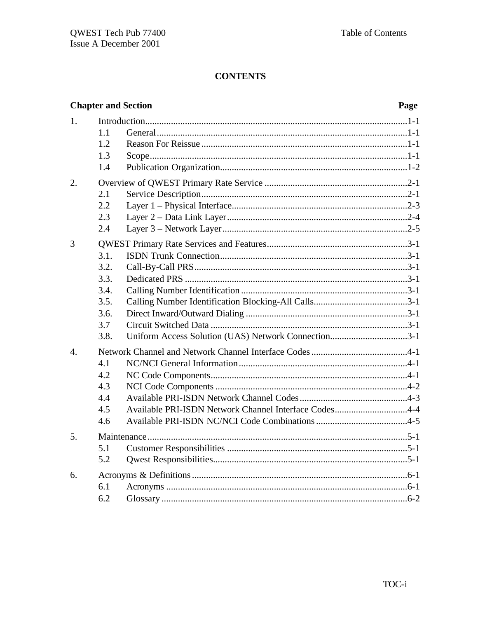|                  |      | <b>Chapter and Section</b>                            | Page |
|------------------|------|-------------------------------------------------------|------|
| 1.               |      |                                                       |      |
|                  | 1.1  |                                                       |      |
|                  | 1.2  |                                                       |      |
|                  | 1.3  |                                                       |      |
|                  | 1.4  |                                                       |      |
| 2.               |      |                                                       |      |
|                  | 2.1  |                                                       |      |
|                  | 2.2  |                                                       |      |
|                  | 2.3  |                                                       |      |
|                  | 2.4  |                                                       |      |
| 3                |      |                                                       |      |
|                  | 3.1. |                                                       |      |
|                  | 3.2. |                                                       |      |
|                  | 3.3. |                                                       |      |
|                  | 3.4. |                                                       |      |
|                  | 3.5. |                                                       |      |
|                  | 3.6. |                                                       |      |
|                  | 3.7  |                                                       |      |
|                  | 3.8. | Uniform Access Solution (UAS) Network Connection3-1   |      |
| $\overline{4}$ . |      |                                                       |      |
|                  | 4.1  |                                                       |      |
|                  | 4.2  |                                                       |      |
|                  | 4.3  |                                                       |      |
|                  | 4.4  |                                                       |      |
|                  | 4.5  | Available PRI-ISDN Network Channel Interface Codes4-4 |      |
|                  | 4.6  |                                                       |      |
| 5.               |      |                                                       |      |
|                  | 5.1  |                                                       |      |
|                  | 5.2  |                                                       |      |
| 6.               |      |                                                       |      |
|                  | 6.1  |                                                       |      |
|                  | 6.2  |                                                       |      |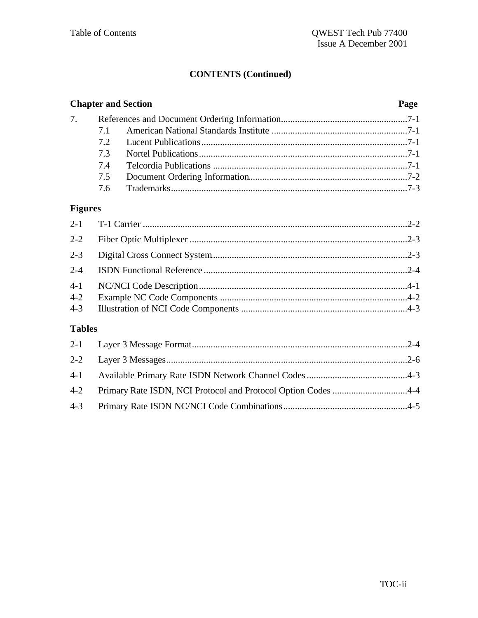# **CONTENTS (Continued)**

| <b>Chapter and Section</b> | Page |  |
|----------------------------|------|--|
|                            |      |  |
|                            |      |  |
|                            |      |  |
|                            |      |  |
|                            |      |  |
|                            |      |  |
|                            |      |  |

# **Figures**

| $2 - 2$       |  |
|---------------|--|
| $2 - 3$       |  |
| $2 - 4$       |  |
| $4 - 1$       |  |
| $4 - 2$       |  |
| $4 - 3$       |  |
| <b>Tables</b> |  |
|               |  |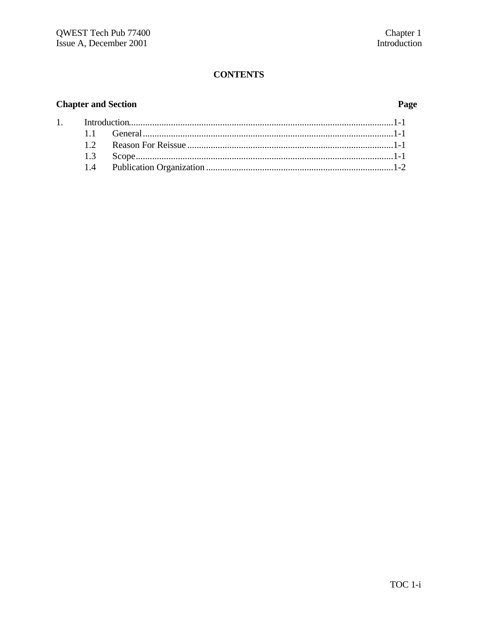# **Chapter and Section**

 $\overline{1}$ .

# Page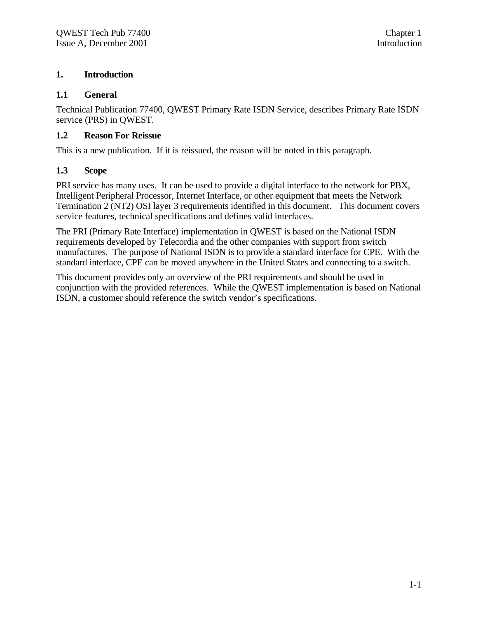# **1. Introduction**

# **1.1 General**

Technical Publication 77400, QWEST Primary Rate ISDN Service, describes Primary Rate ISDN service (PRS) in QWEST.

# **1.2 Reason For Reissue**

This is a new publication. If it is reissued, the reason will be noted in this paragraph.

# **1.3 Scope**

PRI service has many uses. It can be used to provide a digital interface to the network for PBX, Intelligent Peripheral Processor, Internet Interface, or other equipment that meets the Network Termination 2 (NT2) OSI layer 3 requirements identified in this document. This document covers service features, technical specifications and defines valid interfaces.

The PRI (Primary Rate Interface) implementation in QWEST is based on the National ISDN requirements developed by Telecordia and the other companies with support from switch manufactures. The purpose of National ISDN is to provide a standard interface for CPE. With the standard interface, CPE can be moved anywhere in the United States and connecting to a switch.

This document provides only an overview of the PRI requirements and should be used in conjunction with the provided references. While the QWEST implementation is based on National ISDN, a customer should reference the switch vendor's specifications.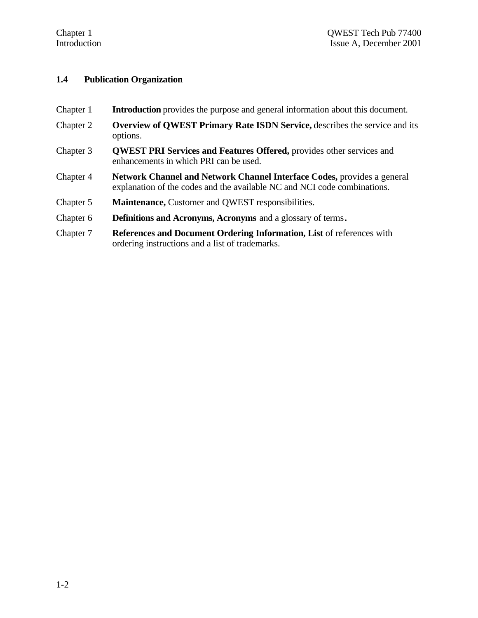# **1.4 Publication Organization**

- Chapter 1 **Introduction** provides the purpose and general information about this document.
- Chapter 2 **Overview of QWEST Primary Rate ISDN Service,** describes the service and its options.
- Chapter 3 **QWEST PRI Services and Features Offered,** provides other services and enhancements in which PRI can be used.
- Chapter 4 **Network Channel and Network Channel Interface Codes,** provides a general explanation of the codes and the available NC and NCI code combinations.
- Chapter 5 **Maintenance,** Customer and QWEST responsibilities.
- Chapter 6 **Definitions and Acronyms, Acronyms** and a glossary of terms**.**
- Chapter 7 **References and Document Ordering Information, List** of references with ordering instructions and a list of trademarks.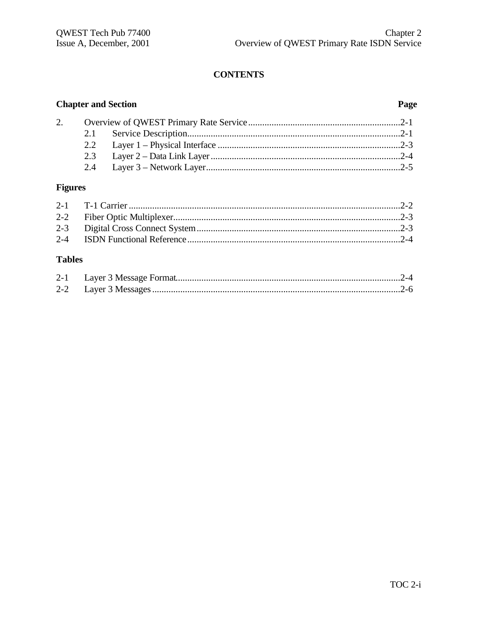# **Chapter and Section**

# Page

| 2. |  |  |
|----|--|--|
|    |  |  |
|    |  |  |
|    |  |  |
|    |  |  |

# **Figures**

# **Tables**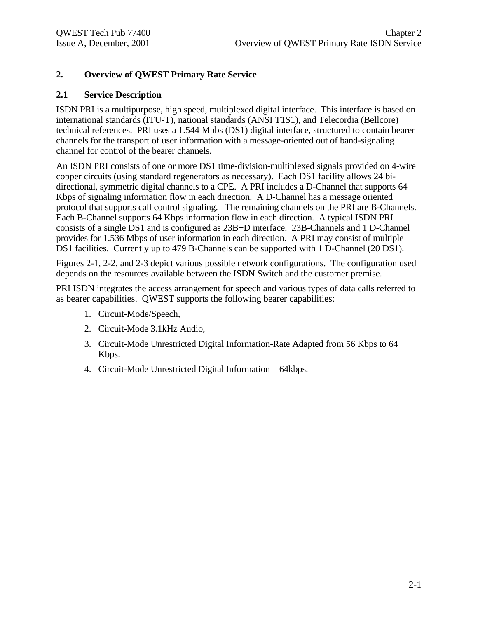# **2. Overview of QWEST Primary Rate Service**

# **2.1 Service Description**

ISDN PRI is a multipurpose, high speed, multiplexed digital interface. This interface is based on international standards (ITU-T), national standards (ANSI T1S1), and Telecordia (Bellcore) technical references. PRI uses a 1.544 Mpbs (DS1) digital interface, structured to contain bearer channels for the transport of user information with a message-oriented out of band-signaling channel for control of the bearer channels.

An ISDN PRI consists of one or more DS1 time-division-multiplexed signals provided on 4-wire copper circuits (using standard regenerators as necessary). Each DS1 facility allows 24 bidirectional, symmetric digital channels to a CPE. A PRI includes a D-Channel that supports 64 Kbps of signaling information flow in each direction. A D-Channel has a message oriented protocol that supports call control signaling. The remaining channels on the PRI are B-Channels. Each B-Channel supports 64 Kbps information flow in each direction. A typical ISDN PRI consists of a single DS1 and is configured as 23B+D interface. 23B-Channels and 1 D-Channel provides for 1.536 Mbps of user information in each direction. A PRI may consist of multiple DS1 facilities. Currently up to 479 B-Channels can be supported with 1 D-Channel (20 DS1).

Figures 2-1, 2-2, and 2-3 depict various possible network configurations. The configuration used depends on the resources available between the ISDN Switch and the customer premise.

PRI ISDN integrates the access arrangement for speech and various types of data calls referred to as bearer capabilities. QWEST supports the following bearer capabilities:

- 1. Circuit-Mode/Speech,
- 2. Circuit-Mode 3.1kHz Audio,
- 3. Circuit-Mode Unrestricted Digital Information-Rate Adapted from 56 Kbps to 64 Kbps.
- 4. Circuit-Mode Unrestricted Digital Information 64kbps.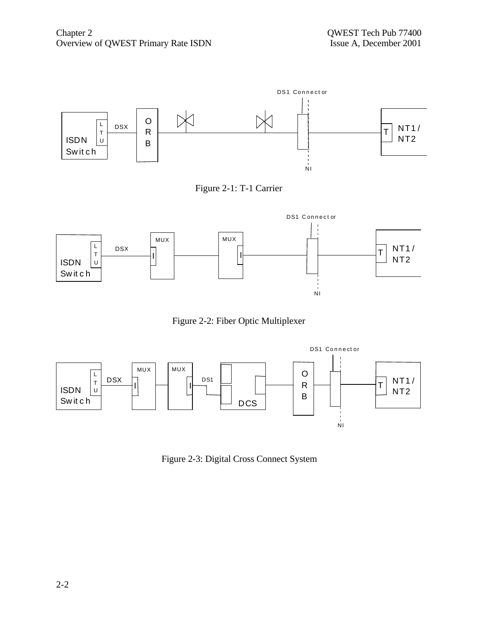









Figure 2-3: Digital Cross Connect System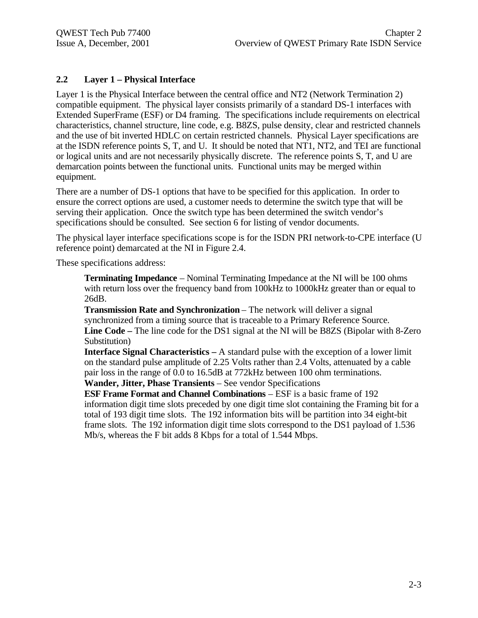# **2.2 Layer 1 – Physical Interface**

Layer 1 is the Physical Interface between the central office and NT2 (Network Termination 2) compatible equipment. The physical layer consists primarily of a standard DS-1 interfaces with Extended SuperFrame (ESF) or D4 framing. The specifications include requirements on electrical characteristics, channel structure, line code, e.g. B8ZS, pulse density, clear and restricted channels and the use of bit inverted HDLC on certain restricted channels. Physical Layer specifications are at the ISDN reference points S, T, and U. It should be noted that NT1, NT2, and TEI are functional or logical units and are not necessarily physically discrete. The reference points S, T, and U are demarcation points between the functional units. Functional units may be merged within equipment.

There are a number of DS-1 options that have to be specified for this application. In order to ensure the correct options are used, a customer needs to determine the switch type that will be serving their application. Once the switch type has been determined the switch vendor's specifications should be consulted. See section 6 for listing of vendor documents.

The physical layer interface specifications scope is for the ISDN PRI network-to-CPE interface (U reference point) demarcated at the NI in Figure 2.4.

These specifications address:

**Terminating Impedance** – Nominal Terminating Impedance at the NI will be 100 ohms with return loss over the frequency band from 100kHz to 1000kHz greater than or equal to 26dB.

**Transmission Rate and Synchronization** – The network will deliver a signal synchronized from a timing source that is traceable to a Primary Reference Source. **Line Code –** The line code for the DS1 signal at the NI will be B8ZS (Bipolar with 8-Zero Substitution)

**Interface Signal Characteristics –** A standard pulse with the exception of a lower limit on the standard pulse amplitude of 2.25 Volts rather than 2.4 Volts, attenuated by a cable pair loss in the range of 0.0 to 16.5dB at 772kHz between 100 ohm terminations. **Wander, Jitter, Phase Transients** – See vendor Specifications

**ESF Frame Format and Channel Combinations** – ESF is a basic frame of 192 information digit time slots preceded by one digit time slot containing the Framing bit for a total of 193 digit time slots. The 192 information bits will be partition into 34 eight-bit frame slots. The 192 information digit time slots correspond to the DS1 payload of 1.536 Mb/s, whereas the F bit adds 8 Kbps for a total of 1.544 Mbps.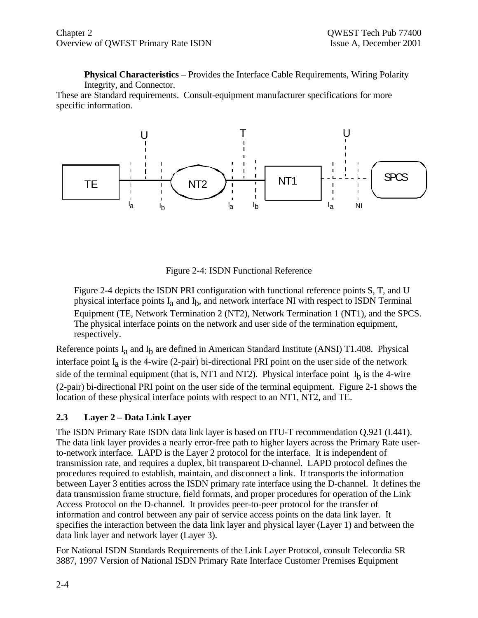**Physical Characteristics** – Provides the Interface Cable Requirements, Wiring Polarity Integrity, and Connector.

These are Standard requirements. Consult-equipment manufacturer specifications for more specific information.



Figure 2-4: ISDN Functional Reference

Figure 2-4 depicts the ISDN PRI configuration with functional reference points S, T, and U physical interface points I<sub>a</sub> and I<sub>b</sub>, and network interface NI with respect to ISDN Terminal Equipment (TE, Network Termination 2 (NT2), Network Termination 1 (NT1), and the SPCS. The physical interface points on the network and user side of the termination equipment, respectively.

Reference points I<sub>a</sub> and I<sub>b</sub> are defined in American Standard Institute (ANSI) T1.408. Physical interface point  $I_a$  is the 4-wire (2-pair) bi-directional PRI point on the user side of the network side of the terminal equipment (that is, NT1 and NT2). Physical interface point  $I<sub>b</sub>$  is the 4-wire (2-pair) bi-directional PRI point on the user side of the terminal equipment. Figure 2-1 shows the location of these physical interface points with respect to an NT1, NT2, and TE.

# **2.3 Layer 2 – Data Link Layer**

The ISDN Primary Rate ISDN data link layer is based on ITU-T recommendation Q.921 (I.441). The data link layer provides a nearly error-free path to higher layers across the Primary Rate userto-network interface. LAPD is the Layer 2 protocol for the interface. It is independent of transmission rate, and requires a duplex, bit transparent D-channel. LAPD protocol defines the procedures required to establish, maintain, and disconnect a link. It transports the information between Layer 3 entities across the ISDN primary rate interface using the D-channel. It defines the data transmission frame structure, field formats, and proper procedures for operation of the Link Access Protocol on the D-channel. It provides peer-to-peer protocol for the transfer of information and control between any pair of service access points on the data link layer. It specifies the interaction between the data link layer and physical layer (Layer 1) and between the data link layer and network layer (Layer 3).

For National ISDN Standards Requirements of the Link Layer Protocol, consult Telecordia SR 3887, 1997 Version of National ISDN Primary Rate Interface Customer Premises Equipment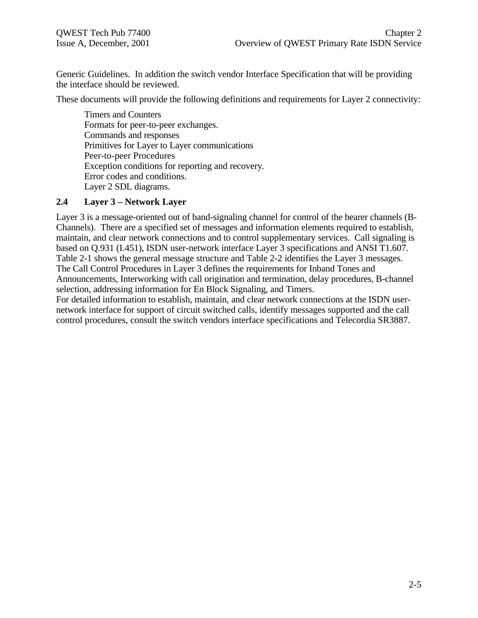Generic Guidelines. In addition the switch vendor Interface Specification that will be providing the interface should be reviewed.

These documents will provide the following definitions and requirements for Layer 2 connectivity:

Timers and Counters Formats for peer-to-peer exchanges. Commands and responses Primitives for Layer to Layer communications Peer-to-peer Procedures Exception conditions for reporting and recovery. Error codes and conditions. Layer 2 SDL diagrams.

# **2.4 Layer 3 – Network Layer**

Layer 3 is a message-oriented out of band-signaling channel for control of the bearer channels (B-Channels). There are a specified set of messages and information elements required to establish, maintain, and clear network connections and to control supplementary services. Call signaling is based on Q.931 (I.451), ISDN user-network interface Layer 3 specifications and ANSI T1.607. Table 2-1 shows the general message structure and Table 2-2 identifies the Layer 3 messages. The Call Control Procedures in Layer 3 defines the requirements for Inband Tones and Announcements, Interworking with call origination and termination, delay procedures, B-channel selection, addressing information for En Block Signaling, and Timers.

For detailed information to establish, maintain, and clear network connections at the ISDN usernetwork interface for support of circuit switched calls, identify messages supported and the call control procedures, consult the switch vendors interface specifications and Telecordia SR3887.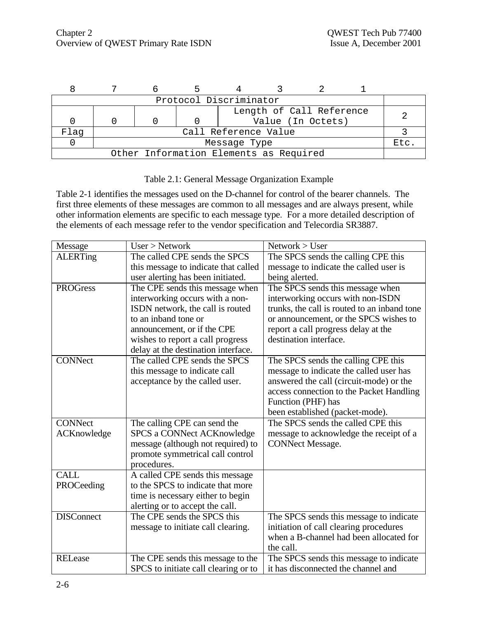|                                        |                      |  | Protocol Discriminator |  |                          |  |  |
|----------------------------------------|----------------------|--|------------------------|--|--------------------------|--|--|
|                                        |                      |  |                        |  | Length of Call Reference |  |  |
|                                        |                      |  |                        |  | Value (In Octets)        |  |  |
| Flaq                                   | Call Reference Value |  |                        |  |                          |  |  |
|                                        | Message Type<br>Etc  |  |                        |  |                          |  |  |
| Other Information Elements as Required |                      |  |                        |  |                          |  |  |

# Table 2.1: General Message Organization Example

Table 2-1 identifies the messages used on the D-channel for control of the bearer channels. The first three elements of these messages are common to all messages and are always present, while other information elements are specific to each message type. For a more detailed description of the elements of each message refer to the vendor specification and Telecordia SR3887.

| Message            | User > Network                       | Network > User                               |
|--------------------|--------------------------------------|----------------------------------------------|
| <b>ALERTing</b>    | The called CPE sends the SPCS        | The SPCS sends the calling CPE this          |
|                    | this message to indicate that called | message to indicate the called user is       |
|                    | user alerting has been initiated.    | being alerted.                               |
| <b>PROGress</b>    | The CPE sends this message when      | The SPCS sends this message when             |
|                    | interworking occurs with a non-      | interworking occurs with non-ISDN            |
|                    | ISDN network, the call is routed     | trunks, the call is routed to an inband tone |
|                    | to an inband tone or                 | or announcement, or the SPCS wishes to       |
|                    | announcement, or if the CPE          | report a call progress delay at the          |
|                    | wishes to report a call progress     | destination interface.                       |
|                    | delay at the destination interface.  |                                              |
| <b>CONNect</b>     | The called CPE sends the SPCS        | The SPCS sends the calling CPE this          |
|                    | this message to indicate call        | message to indicate the called user has      |
|                    | acceptance by the called user.       | answered the call (circuit-mode) or the      |
|                    |                                      | access connection to the Packet Handling     |
|                    |                                      | Function (PHF) has                           |
|                    |                                      | been established (packet-mode).              |
| <b>CONNect</b>     | The calling CPE can send the         | The SPCS sends the called CPE this           |
| <b>ACKnowledge</b> | <b>SPCS a CONNect ACKnowledge</b>    | message to acknowledge the receipt of a      |
|                    | message (although not required) to   | <b>CONNect Message.</b>                      |
|                    | promote symmetrical call control     |                                              |
|                    | procedures.                          |                                              |
| <b>CALL</b>        | A called CPE sends this message      |                                              |
| PROCeeding         | to the SPCS to indicate that more    |                                              |
|                    | time is necessary either to begin    |                                              |
|                    | alerting or to accept the call.      |                                              |
| <b>DISConnect</b>  | The CPE sends the SPCS this          | The SPCS sends this message to indicate      |
|                    | message to initiate call clearing.   | initiation of call clearing procedures       |
|                    |                                      | when a B-channel had been allocated for      |
| <b>RELease</b>     |                                      | the call.                                    |
|                    | The CPE sends this message to the    | The SPCS sends this message to indicate      |
|                    | SPCS to initiate call clearing or to | it has disconnected the channel and          |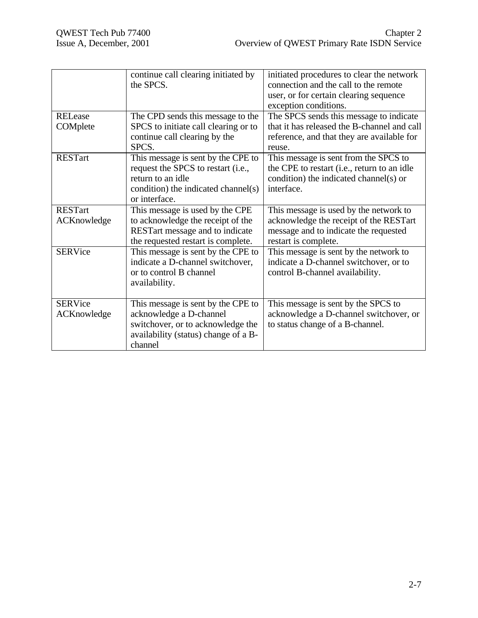|                | continue call clearing initiated by<br>the SPCS.                               | initiated procedures to clear the network<br>connection and the call to the remote<br>user, or for certain clearing sequence<br>exception conditions. |
|----------------|--------------------------------------------------------------------------------|-------------------------------------------------------------------------------------------------------------------------------------------------------|
| <b>RELease</b> | The CPD sends this message to the                                              | The SPCS sends this message to indicate                                                                                                               |
| COMplete       | SPCS to initiate call clearing or to<br>continue call clearing by the<br>SPCS. | that it has released the B-channel and call<br>reference, and that they are available for<br>reuse.                                                   |
| <b>RESTart</b> | This message is sent by the CPE to                                             | This message is sent from the SPCS to                                                                                                                 |
|                | request the SPCS to restart (i.e.,                                             | the CPE to restart (i.e., return to an idle                                                                                                           |
|                | return to an idle                                                              | condition) the indicated channel(s) or                                                                                                                |
|                | condition) the indicated channel(s)                                            | interface.                                                                                                                                            |
|                | or interface.                                                                  |                                                                                                                                                       |
| <b>RESTart</b> | This message is used by the CPE                                                | This message is used by the network to                                                                                                                |
| ACKnowledge    | to acknowledge the receipt of the<br>RESTart message and to indicate           | acknowledge the receipt of the RESTart<br>message and to indicate the requested                                                                       |
|                | the requested restart is complete.                                             | restart is complete.                                                                                                                                  |
| <b>SERVice</b> | This message is sent by the CPE to                                             | This message is sent by the network to                                                                                                                |
|                | indicate a D-channel switchover,                                               | indicate a D-channel switchover, or to                                                                                                                |
|                | or to control B channel                                                        | control B-channel availability.                                                                                                                       |
|                | availability.                                                                  |                                                                                                                                                       |
| <b>SERVice</b> | This message is sent by the CPE to                                             | This message is sent by the SPCS to                                                                                                                   |
| ACKnowledge    | acknowledge a D-channel                                                        | acknowledge a D-channel switchover, or                                                                                                                |
|                | switchover, or to acknowledge the                                              | to status change of a B-channel.                                                                                                                      |
|                | availability (status) change of a B-                                           |                                                                                                                                                       |
|                | channel                                                                        |                                                                                                                                                       |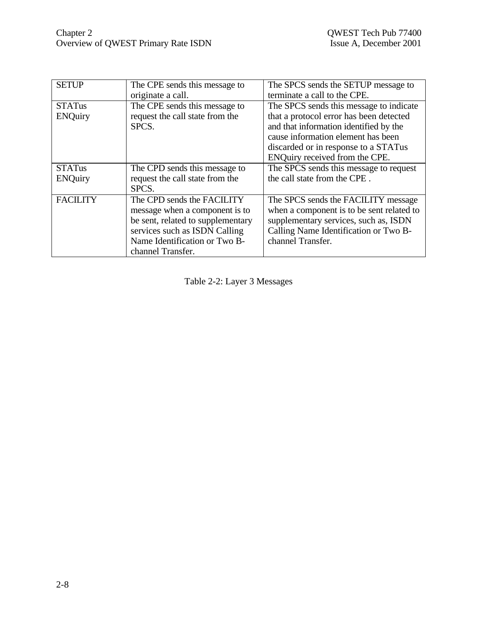| <b>SETUP</b>    | The CPE sends this message to     | The SPCS sends the SETUP message to       |
|-----------------|-----------------------------------|-------------------------------------------|
|                 | originate a call.                 | terminate a call to the CPE.              |
| <b>STATus</b>   | The CPE sends this message to     | The SPCS sends this message to indicate   |
| <b>ENQuiry</b>  | request the call state from the   | that a protocol error has been detected   |
|                 | SPCS.                             | and that information identified by the    |
|                 |                                   | cause information element has been        |
|                 |                                   | discarded or in response to a STATus      |
|                 |                                   | ENQuiry received from the CPE.            |
| <b>STATus</b>   | The CPD sends this message to     | The SPCS sends this message to request    |
| <b>ENQuiry</b>  | request the call state from the   | the call state from the CPE.              |
|                 | SPCS.                             |                                           |
| <b>FACILITY</b> | The CPD sends the FACILITY        | The SPCS sends the FACILITY message       |
|                 | message when a component is to    | when a component is to be sent related to |
|                 | be sent, related to supplementary | supplementary services, such as, ISDN     |
|                 | services such as ISDN Calling     | Calling Name Identification or Two B-     |
|                 | Name Identification or Two B-     | channel Transfer.                         |
|                 | channel Transfer.                 |                                           |

Table 2-2: Layer 3 Messages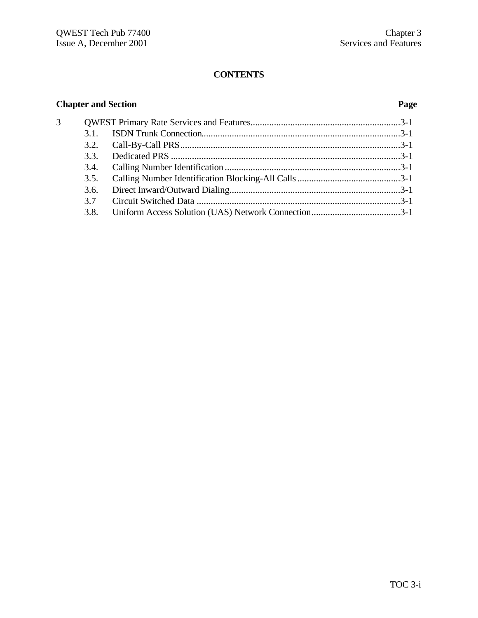# **Chapter and Section Page**

| 3 |      |  |
|---|------|--|
|   | 3.1  |  |
|   |      |  |
|   | 3.3  |  |
|   | 3.4. |  |
|   | 3.5. |  |
|   | 3.6. |  |
|   | 37   |  |
|   | 3.8. |  |
|   |      |  |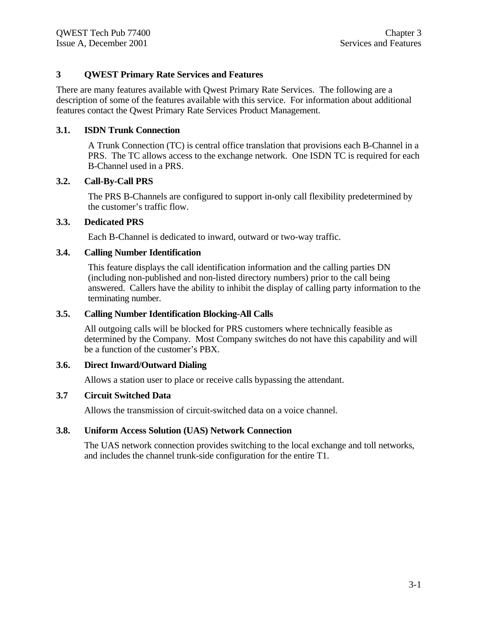# **3 QWEST Primary Rate Services and Features**

There are many features available with Qwest Primary Rate Services. The following are a description of some of the features available with this service. For information about additional features contact the Qwest Primary Rate Services Product Management.

# **3.1. ISDN Trunk Connection**

A Trunk Connection (TC) is central office translation that provisions each B-Channel in a PRS. The TC allows access to the exchange network. One ISDN TC is required for each B-Channel used in a PRS.

# **3.2. Call-By-Call PRS**

The PRS B-Channels are configured to support in-only call flexibility predetermined by the customer's traffic flow.

#### **3.3. Dedicated PRS**

Each B-Channel is dedicated to inward, outward or two-way traffic.

#### **3.4. Calling Number Identification**

This feature displays the call identification information and the calling parties DN (including non-published and non-listed directory numbers) prior to the call being answered. Callers have the ability to inhibit the display of calling party information to the terminating number.

#### **3.5. Calling Number Identification Blocking-All Calls**

All outgoing calls will be blocked for PRS customers where technically feasible as determined by the Company. Most Company switches do not have this capability and will be a function of the customer's PBX.

# **3.6. Direct Inward/Outward Dialing**

Allows a station user to place or receive calls bypassing the attendant.

# **3.7 Circuit Switched Data**

Allows the transmission of circuit-switched data on a voice channel.

#### **3.8. Uniform Access Solution (UAS) Network Connection**

The UAS network connection provides switching to the local exchange and toll networks, and includes the channel trunk-side configuration for the entire T1.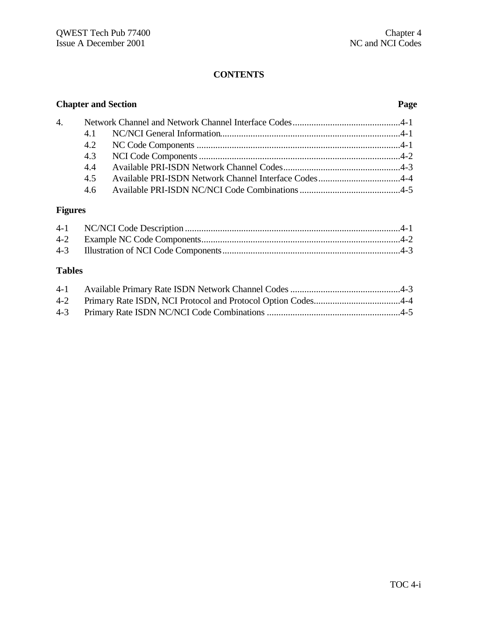|                  |     | <b>Chapter and Section</b> | Page |
|------------------|-----|----------------------------|------|
| $\overline{4}$ . |     |                            |      |
|                  | 4.1 |                            |      |
|                  |     |                            |      |
|                  | 4.3 |                            |      |
|                  | 4.4 |                            |      |
|                  | 4.5 |                            |      |
|                  | 4.6 |                            |      |

# **Figures**

# **Tables**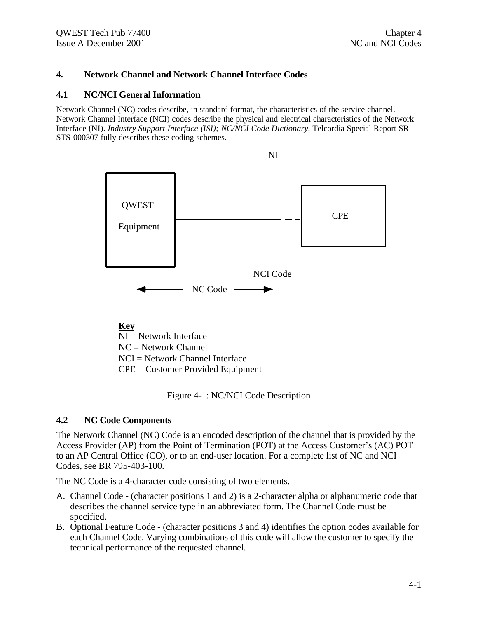# **4. Network Channel and Network Channel Interface Codes**

#### **4.1 NC/NCI General Information**

Network Channel (NC) codes describe, in standard format, the characteristics of the service channel. Network Channel Interface (NCI) codes describe the physical and electrical characteristics of the Network Interface (NI). *Industry Support Interface (ISI); NC/NCI Code Dictionary*, Telcordia Special Report SR-STS-000307 fully describes these coding schemes.



NI = Network Interface NC = Network Channel NCI = Network Channel Interface CPE = Customer Provided Equipment

Figure 4-1: NC/NCI Code Description

# **4.2 NC Code Components**

The Network Channel (NC) Code is an encoded description of the channel that is provided by the Access Provider (AP) from the Point of Termination (POT) at the Access Customer's (AC) POT to an AP Central Office (CO), or to an end-user location. For a complete list of NC and NCI Codes, see BR 795-403-100.

The NC Code is a 4-character code consisting of two elements.

- A. Channel Code (character positions 1 and 2) is a 2-character alpha or alphanumeric code that describes the channel service type in an abbreviated form. The Channel Code must be specified.
- B. Optional Feature Code (character positions 3 and 4) identifies the option codes available for each Channel Code. Varying combinations of this code will allow the customer to specify the technical performance of the requested channel.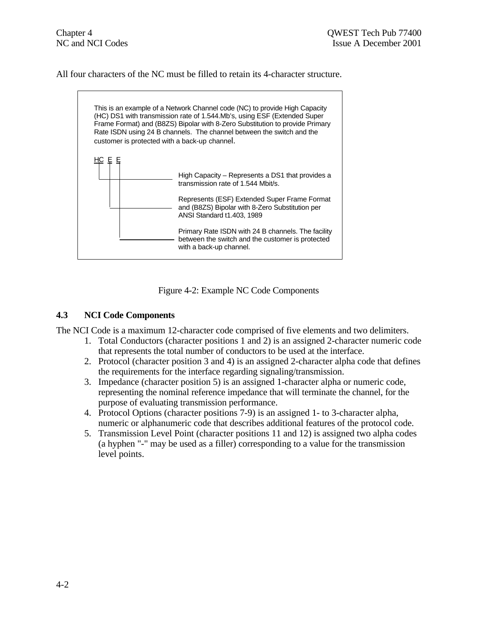All four characters of the NC must be filled to retain its 4-character structure.



Figure 4-2: Example NC Code Components

# **4.3 NCI Code Components**

The NCI Code is a maximum 12-character code comprised of five elements and two delimiters.

- 1. Total Conductors (character positions 1 and 2) is an assigned 2-character numeric code that represents the total number of conductors to be used at the interface.
- 2. Protocol (character position 3 and 4) is an assigned 2-character alpha code that defines the requirements for the interface regarding signaling/transmission.
- 3. Impedance (character position 5) is an assigned 1-character alpha or numeric code, representing the nominal reference impedance that will terminate the channel, for the purpose of evaluating transmission performance.
- 4. Protocol Options (character positions 7-9) is an assigned 1- to 3-character alpha, numeric or alphanumeric code that describes additional features of the protocol code.
- 5. Transmission Level Point (character positions 11 and 12) is assigned two alpha codes (a hyphen "-" may be used as a filler) corresponding to a value for the transmission level points.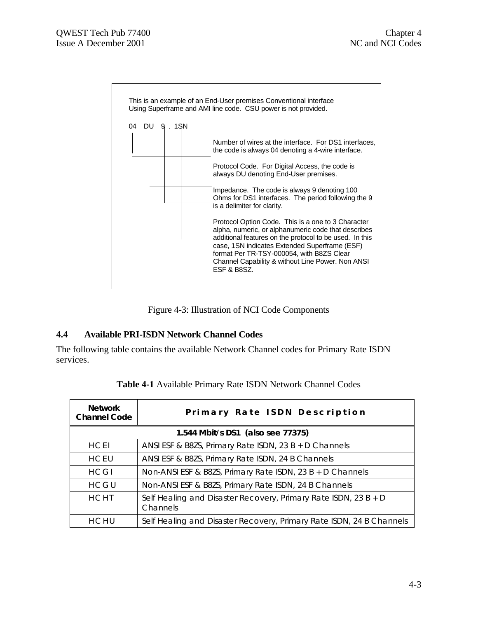

Figure 4-3: Illustration of NCI Code Components

# **4.4 Available PRI-ISDN Network Channel Codes**

The following table contains the available Network Channel codes for Primary Rate ISDN services.

| <b>Network</b><br><b>Channel Code</b> | Primary Rate ISDN Description                                               |
|---------------------------------------|-----------------------------------------------------------------------------|
|                                       | 1.544 Mbit/s DS1 (also see 77375)                                           |
| <b>HCEI</b>                           | ANSI ESF & B8ZS, Primary Rate ISDN, 23 B + D Channels                       |
| <b>HCEU</b>                           | ANSI ESF & B8ZS, Primary Rate ISDN, 24 B Channels                           |
| <b>HCGI</b>                           | Non-ANSI ESF & B8ZS, Primary Rate ISDN, $23B + D$ Channels                  |
| HCGU                                  | Non-ANSI ESF & B8ZS, Primary Rate ISDN, 24 B Channels                       |
| <b>HCHT</b>                           | Self Healing and Disaster Recovery, Primary Rate ISDN, 23 B + D<br>Channels |
| HCHU                                  | Self Healing and Disaster Recovery, Primary Rate ISDN, 24 B Channels        |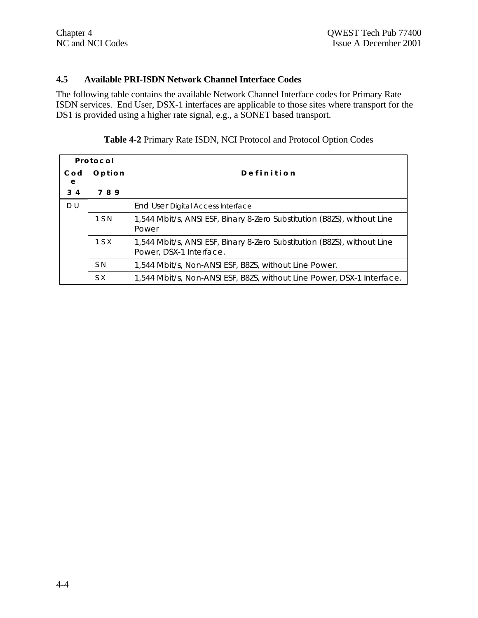# **4.5 Available PRI-ISDN Network Channel Interface Codes**

The following table contains the available Network Channel Interface codes for Primary Rate ISDN services. End User, DSX-1 interfaces are applicable to those sites where transport for the DS1 is provided using a higher rate signal, e.g., a SONET based transport.

| Protocol   |                |                                                                                                    |  |
|------------|----------------|----------------------------------------------------------------------------------------------------|--|
| Cod<br>e   | Option         | Definition                                                                                         |  |
| $3\quad 4$ | 789            |                                                                                                    |  |
| DU         |                | End User Digital Access Interface                                                                  |  |
|            | 1 S N          | 1,544 Mbit/s, ANSI ESF, Binary 8-Zero Substitution (B8ZS), without Line<br>Power                   |  |
|            | 1 S X          | 1,544 Mbit/s, ANSI ESF, Binary 8-Zero Substitution (B8ZS), without Line<br>Power, DSX-1 Interface. |  |
|            | S <sub>N</sub> | 1,544 Mbit/s, Non-ANSI ESF, B8ZS, without Line Power.                                              |  |
|            | S X            | 1,544 Mbit/s, Non-ANSI ESF, B8ZS, without Line Power, DSX-1 Interface.                             |  |

# **Table 4-2** Primary Rate ISDN, NCI Protocol and Protocol Option Codes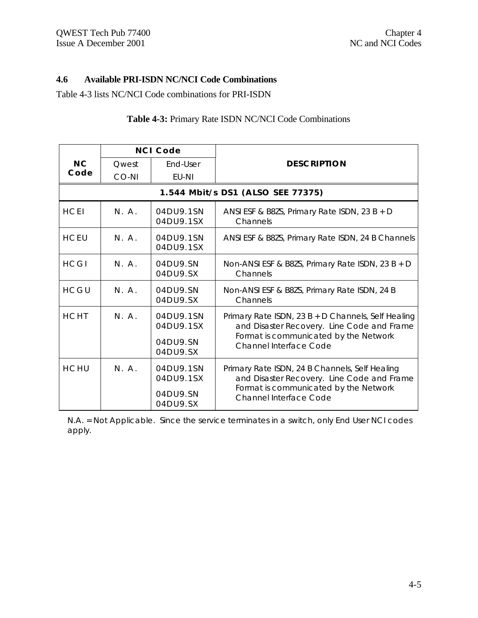# **4.6 Available PRI-ISDN NC/NCI Code Combinations**

Table 4-3 lists NC/NCI Code combinations for PRI-ISDN

| <b>NCI Code</b> |           |                                                |                                                                                                                                                                            |
|-----------------|-----------|------------------------------------------------|----------------------------------------------------------------------------------------------------------------------------------------------------------------------------|
| N <sub>C</sub>  | Owest     | Fnd-User                                       | <b>DESCRIPTION</b>                                                                                                                                                         |
| Code            | CO-NI     | EU-NI                                          |                                                                                                                                                                            |
|                 |           |                                                | 1.544 Mbit/s DS1 (ALSO SEE 77375)                                                                                                                                          |
| <b>HCEI</b>     | N.A.      | 04DU9.1SN<br>04DU9.1SX                         | ANSI ESF & B8ZS, Primary Rate ISDN, $23B + D$<br>Channels                                                                                                                  |
| <b>HCEU</b>     | N. A.     | 04DU9.1SN<br>04DU9.1SX                         | ANSI ESF & B8ZS, Primary Rate ISDN, 24 B Channels                                                                                                                          |
| <b>HCGI</b>     | N. A.     | 04DU9.SN<br>04DU9.SX                           | Non-ANSI ESF & B8ZS, Primary Rate ISDN, 23 B + D<br>Channels                                                                                                               |
| HCGU            | $N$ $A$ . | 04DU9.SN<br>04DU9.SX                           | Non-ANSI ESF & B8ZS, Primary Rate ISDN, 24 B<br>Channels                                                                                                                   |
| <b>HCHT</b>     | N. A.     | 04DU9.1SN<br>04DU9.1SX<br>04DU9.SN<br>04DU9.SX | Primary Rate ISDN, 23 B + D Channels, Self Healing<br>and Disaster Recovery. Line Code and Frame<br>Format is communicated by the Network<br><b>Channel Interface Code</b> |
| <b>HCHU</b>     | N. A.     | 04DU9.1SN<br>04DU9.1SX<br>04DU9.SN<br>04DU9.SX | Primary Rate ISDN, 24 B Channels, Self Healing<br>and Disaster Recovery. Line Code and Frame<br>Format is communicated by the Network<br><b>Channel Interface Code</b>     |

# **Table 4-3:** Primary Rate ISDN NC/NCI Code Combinations

N.A. = Not Applicable. Since the service terminates in a switch, only End User NCI codes apply.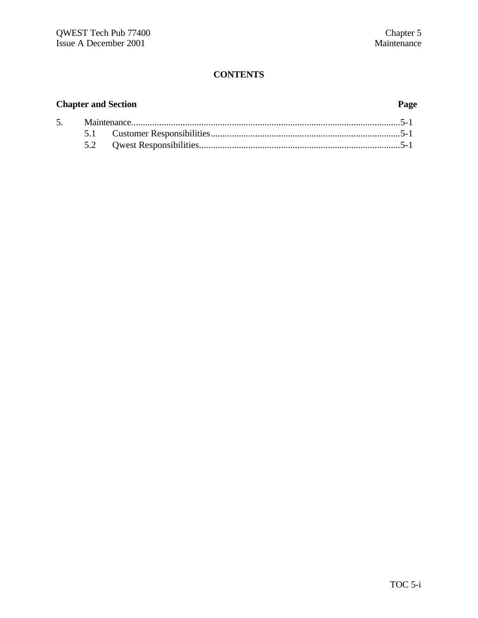# **Chapter and Section Page**

| 5. |  |  |
|----|--|--|
|    |  |  |
|    |  |  |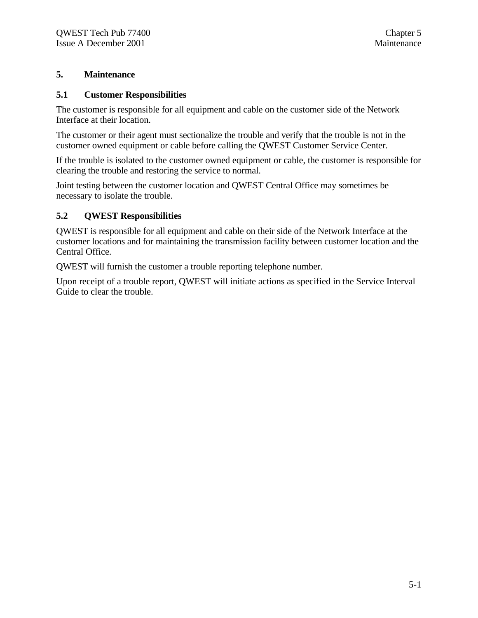# **5. Maintenance**

#### **5.1 Customer Responsibilities**

The customer is responsible for all equipment and cable on the customer side of the Network Interface at their location.

The customer or their agent must sectionalize the trouble and verify that the trouble is not in the customer owned equipment or cable before calling the QWEST Customer Service Center.

If the trouble is isolated to the customer owned equipment or cable, the customer is responsible for clearing the trouble and restoring the service to normal.

Joint testing between the customer location and QWEST Central Office may sometimes be necessary to isolate the trouble.

# **5.2 QWEST Responsibilities**

QWEST is responsible for all equipment and cable on their side of the Network Interface at the customer locations and for maintaining the transmission facility between customer location and the Central Office.

QWEST will furnish the customer a trouble reporting telephone number.

Upon receipt of a trouble report, QWEST will initiate actions as specified in the Service Interval Guide to clear the trouble.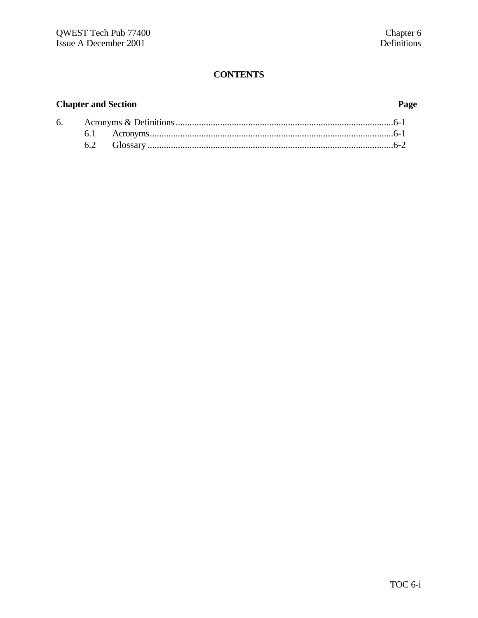# **Chapter and Section Page**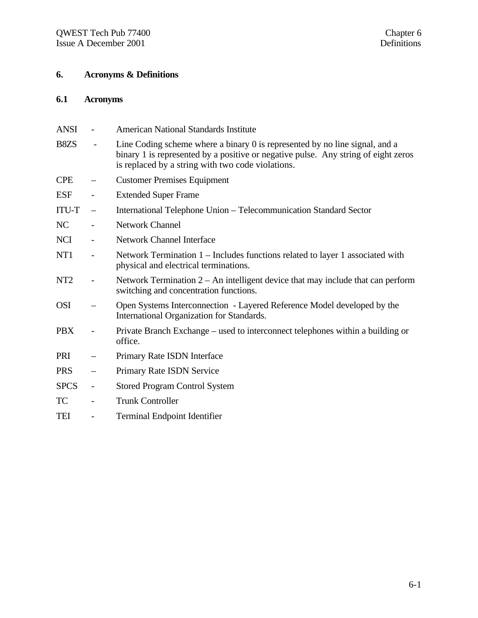# **6. Acronyms & Definitions**

# **6.1 Acronyms**

| ANSI            | <b>American National Standards Institute</b>                                                                                                                                                                           |
|-----------------|------------------------------------------------------------------------------------------------------------------------------------------------------------------------------------------------------------------------|
| B8ZS            | Line Coding scheme where a binary 0 is represented by no line signal, and a<br>binary 1 is represented by a positive or negative pulse. Any string of eight zeros<br>is replaced by a string with two code violations. |
| <b>CPE</b>      | <b>Customer Premises Equipment</b>                                                                                                                                                                                     |
| <b>ESF</b>      | <b>Extended Super Frame</b>                                                                                                                                                                                            |
| <b>ITU-T</b>    | International Telephone Union - Telecommunication Standard Sector                                                                                                                                                      |
| NC              | <b>Network Channel</b>                                                                                                                                                                                                 |
| <b>NCI</b>      | <b>Network Channel Interface</b>                                                                                                                                                                                       |
| NT1             | Network Termination 1 – Includes functions related to layer 1 associated with<br>physical and electrical terminations.                                                                                                 |
| NT <sub>2</sub> | Network Termination $2 - An$ intelligent device that may include that can perform<br>switching and concentration functions.                                                                                            |
| <b>OSI</b>      | Open Systems Interconnection - Layered Reference Model developed by the<br>International Organization for Standards.                                                                                                   |
| <b>PBX</b>      | Private Branch Exchange – used to interconnect telephones within a building or<br>office.                                                                                                                              |
| PRI             | Primary Rate ISDN Interface                                                                                                                                                                                            |
| <b>PRS</b>      | Primary Rate ISDN Service                                                                                                                                                                                              |
| <b>SPCS</b>     | <b>Stored Program Control System</b>                                                                                                                                                                                   |
| TC              | <b>Trunk Controller</b>                                                                                                                                                                                                |
| <b>TEI</b>      | <b>Terminal Endpoint Identifier</b>                                                                                                                                                                                    |
|                 |                                                                                                                                                                                                                        |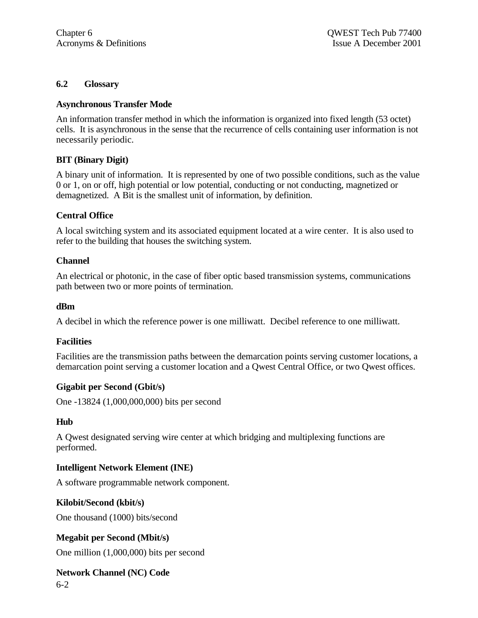#### **6.2 Glossary**

#### **Asynchronous Transfer Mode**

An information transfer method in which the information is organized into fixed length (53 octet) cells. It is asynchronous in the sense that the recurrence of cells containing user information is not necessarily periodic.

# **BIT (Binary Digit)**

A binary unit of information. It is represented by one of two possible conditions, such as the value 0 or 1, on or off, high potential or low potential, conducting or not conducting, magnetized or demagnetized. A Bit is the smallest unit of information, by definition.

#### **Central Office**

A local switching system and its associated equipment located at a wire center. It is also used to refer to the building that houses the switching system.

#### **Channel**

An electrical or photonic, in the case of fiber optic based transmission systems, communications path between two or more points of termination.

#### **dBm**

A decibel in which the reference power is one milliwatt. Decibel reference to one milliwatt.

#### **Facilities**

Facilities are the transmission paths between the demarcation points serving customer locations, a demarcation point serving a customer location and a Qwest Central Office, or two Qwest offices.

#### **Gigabit per Second (Gbit/s)**

One -13824 (1,000,000,000) bits per second

#### **Hub**

A Qwest designated serving wire center at which bridging and multiplexing functions are performed.

#### **Intelligent Network Element (INE)**

A software programmable network component.

#### **Kilobit/Second (kbit/s)**

One thousand (1000) bits/second

# **Megabit per Second (Mbit/s)**

One million (1,000,000) bits per second

```
6-2
Network Channel (NC) Code
```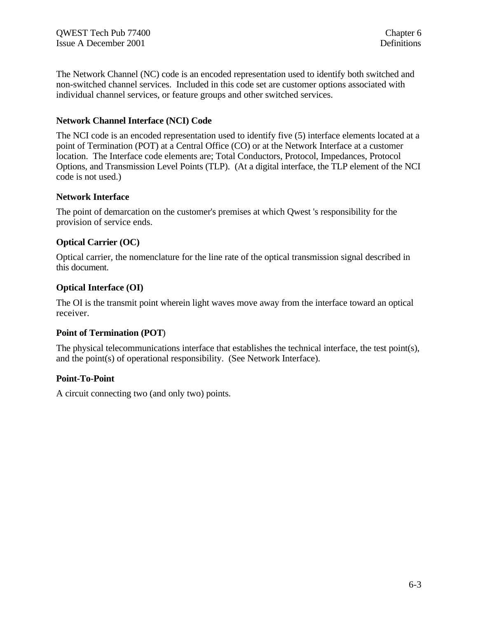The Network Channel (NC) code is an encoded representation used to identify both switched and non-switched channel services. Included in this code set are customer options associated with individual channel services, or feature groups and other switched services.

# **Network Channel Interface (NCI) Code**

The NCI code is an encoded representation used to identify five (5) interface elements located at a point of Termination (POT) at a Central Office (CO) or at the Network Interface at a customer location. The Interface code elements are; Total Conductors, Protocol, Impedances, Protocol Options, and Transmission Level Points (TLP). (At a digital interface, the TLP element of the NCI code is not used.)

# **Network Interface**

The point of demarcation on the customer's premises at which Qwest 's responsibility for the provision of service ends.

# **Optical Carrier (OC)**

Optical carrier, the nomenclature for the line rate of the optical transmission signal described in this document.

# **Optical Interface (OI)**

The OI is the transmit point wherein light waves move away from the interface toward an optical receiver.

# **Point of Termination (POT**)

The physical telecommunications interface that establishes the technical interface, the test point(s), and the point(s) of operational responsibility. (See Network Interface).

# **Point-To-Point**

A circuit connecting two (and only two) points.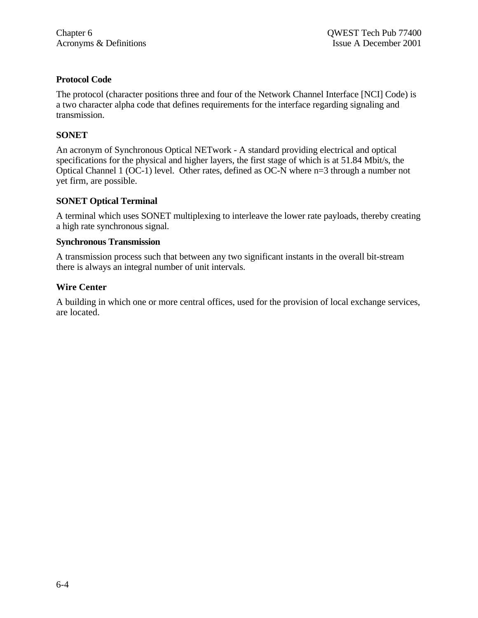# **Protocol Code**

The protocol (character positions three and four of the Network Channel Interface [NCI] Code) is a two character alpha code that defines requirements for the interface regarding signaling and transmission.

# **SONET**

An acronym of Synchronous Optical NETwork - A standard providing electrical and optical specifications for the physical and higher layers, the first stage of which is at 51.84 Mbit/s, the Optical Channel 1 (OC-1) level. Other rates, defined as OC-N where n=3 through a number not yet firm, are possible.

# **SONET Optical Terminal**

A terminal which uses SONET multiplexing to interleave the lower rate payloads, thereby creating a high rate synchronous signal.

#### **Synchronous Transmission**

A transmission process such that between any two significant instants in the overall bit-stream there is always an integral number of unit intervals.

# **Wire Center**

A building in which one or more central offices, used for the provision of local exchange services, are located.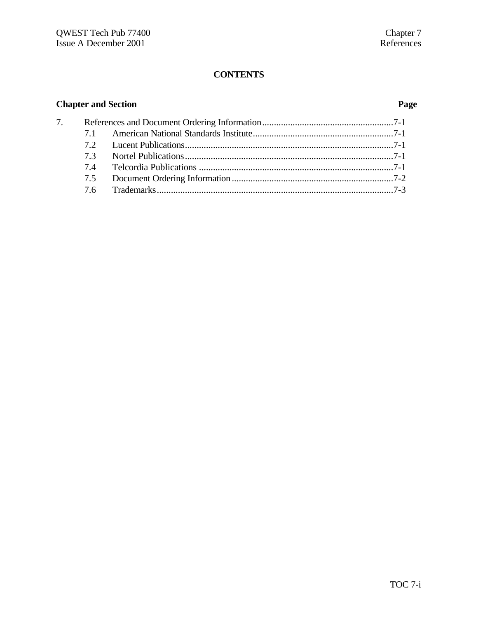# **Chapter and Section Page**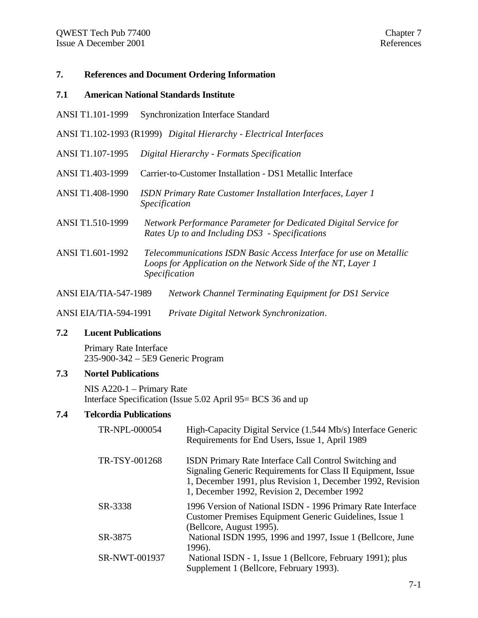# **7. References and Document Ordering Information**

#### **7.1 American National Standards Institute**

- ANSI T1.101-1999 Synchronization Interface Standard
- ANSI T1.102-1993 (R1999) *Digital Hierarchy Electrical Interfaces*
- ANSI T1.107-1995 *Digital Hierarchy Formats Specification*
- ANSI T1.403-1999 Carrier-to-Customer Installation DS1 Metallic Interface
- ANSI T1.408-1990 *ISDN Primary Rate Customer Installation Interfaces, Layer 1 Specification*
- ANSI T1.510-1999 *Network Performance Parameter for Dedicated Digital Service for Rates Up to and Including DS3 - Specifications*
- ANSI T1.601-1992 *Telecommunications ISDN Basic Access Interface for use on Metallic Loops for Application on the Network Side of the NT, Layer 1 Specification*
- ANSI EIA/TIA-547-1989 *Network Channel Terminating Equipment for DS1 Service*

ANSI EIA/TIA-594-1991 *Private Digital Network Synchronization*.

#### **7.2 Lucent Publications**

Primary Rate Interface 235-900-342 – 5E9 Generic Program

# **7.3 Nortel Publications**

NIS A220-1 – Primary Rate Interface Specification (Issue 5.02 April 95= BCS 36 and up

# **7.4 Telcordia Publications**

| TR-NPL-000054 | High-Capacity Digital Service (1.544 Mb/s) Interface Generic<br>Requirements for End Users, Issue 1, April 1989                                                                                                                     |
|---------------|-------------------------------------------------------------------------------------------------------------------------------------------------------------------------------------------------------------------------------------|
| TR-TSY-001268 | ISDN Primary Rate Interface Call Control Switching and<br>Signaling Generic Requirements for Class II Equipment, Issue<br>1, December 1991, plus Revision 1, December 1992, Revision<br>1, December 1992, Revision 2, December 1992 |
| SR-3338       | 1996 Version of National ISDN - 1996 Primary Rate Interface<br>Customer Premises Equipment Generic Guidelines, Issue 1<br>(Bellcore, August 1995).                                                                                  |
| SR-3875       | National ISDN 1995, 1996 and 1997, Issue 1 (Bellcore, June<br>1996).                                                                                                                                                                |
| SR-NWT-001937 | National ISDN - 1, Issue 1 (Bellcore, February 1991); plus<br>Supplement 1 (Bellcore, February 1993).                                                                                                                               |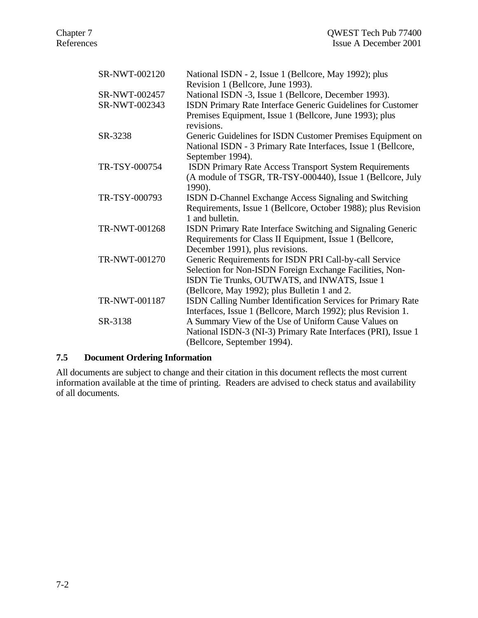| SR-NWT-002120 | National ISDN - 2, Issue 1 (Bellcore, May 1992); plus               |
|---------------|---------------------------------------------------------------------|
|               | Revision 1 (Bellcore, June 1993).                                   |
| SR-NWT-002457 | National ISDN -3, Issue 1 (Bellcore, December 1993).                |
| SR-NWT-002343 | ISDN Primary Rate Interface Generic Guidelines for Customer         |
|               | Premises Equipment, Issue 1 (Bellcore, June 1993); plus             |
|               | revisions.                                                          |
| SR-3238       | Generic Guidelines for ISDN Customer Premises Equipment on          |
|               | National ISDN - 3 Primary Rate Interfaces, Issue 1 (Bellcore,       |
|               | September 1994).                                                    |
| TR-TSY-000754 | <b>ISDN Primary Rate Access Transport System Requirements</b>       |
|               | (A module of TSGR, TR-TSY-000440), Issue 1 (Bellcore, July          |
|               | 1990).                                                              |
| TR-TSY-000793 | ISDN D-Channel Exchange Access Signaling and Switching              |
|               | Requirements, Issue 1 (Bellcore, October 1988); plus Revision       |
|               | 1 and bulletin.                                                     |
| TR-NWT-001268 | ISDN Primary Rate Interface Switching and Signaling Generic         |
|               | Requirements for Class II Equipment, Issue 1 (Bellcore,             |
|               | December 1991), plus revisions.                                     |
| TR-NWT-001270 | Generic Requirements for ISDN PRI Call-by-call Service              |
|               | Selection for Non-ISDN Foreign Exchange Facilities, Non-            |
|               | ISDN Tie Trunks, OUTWATS, and INWATS, Issue 1                       |
|               | (Bellcore, May 1992); plus Bulletin 1 and 2.                        |
| TR-NWT-001187 | <b>ISDN Calling Number Identification Services for Primary Rate</b> |
|               | Interfaces, Issue 1 (Bellcore, March 1992); plus Revision 1.        |
| SR-3138       | A Summary View of the Use of Uniform Cause Values on                |
|               | National ISDN-3 (NI-3) Primary Rate Interfaces (PRI), Issue 1       |
|               | (Bellcore, September 1994).                                         |

# **7.5 Document Ordering Information**

All documents are subject to change and their citation in this document reflects the most current information available at the time of printing. Readers are advised to check status and availability of all documents.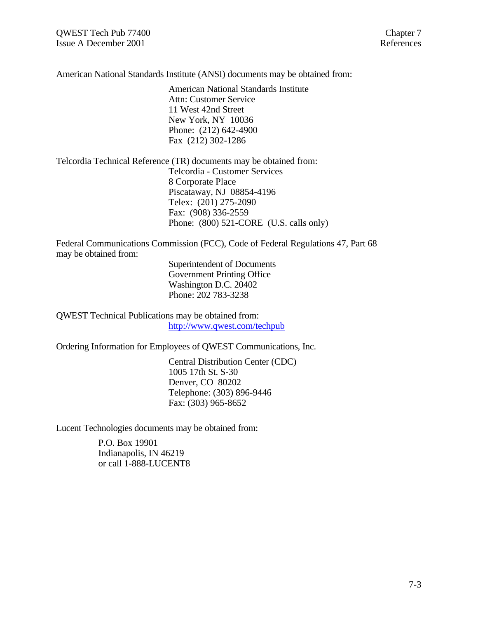American National Standards Institute (ANSI) documents may be obtained from:

American National Standards Institute Attn: Customer Service 11 West 42nd Street New York, NY 10036 Phone: (212) 642-4900 Fax (212) 302-1286

Telcordia Technical Reference (TR) documents may be obtained from: Telcordia - Customer Services 8 Corporate Place Piscataway, NJ 08854-4196 Telex: (201) 275-2090 Fax: (908) 336-2559 Phone: (800) 521-CORE (U.S. calls only)

Federal Communications Commission (FCC), Code of Federal Regulations 47, Part 68 may be obtained from:

> Superintendent of Documents Government Printing Office Washington D.C. 20402 Phone: 202 783-3238

QWEST Technical Publications may be obtained from: http://www.qwest.com/techpub

Ordering Information for Employees of QWEST Communications, Inc.

Central Distribution Center (CDC) 1005 17th St. S-30 Denver, CO 80202 Telephone: (303) 896-9446 Fax: (303) 965-8652

Lucent Technologies documents may be obtained from:

P.O. Box 19901 Indianapolis, IN 46219 or call 1-888-LUCENT8